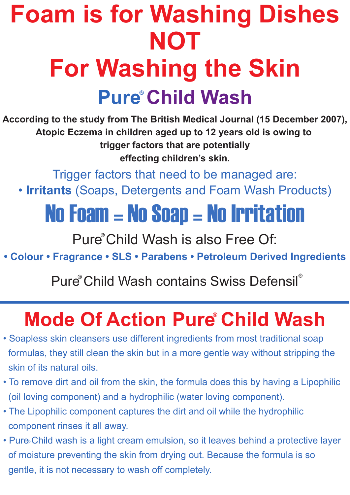# **Pure Child Wash ® Foam is for Washing Dishes NOT For Washing the Skin**

**According to the study from The British Medical Journal (15 December 2007), Atopic Eczema in children aged up to 12 years old is owing to trigger factors that are potentially effecting children's skin.**

Trigger factors that need to be managed are:

• **Irritants** (Soaps, Detergents and Foam Wash Products)

## No Foam = No Soap = No Irritation

Pure<sup>®</sup> Child Wash is also Free Of:

**• Colour • Fragrance • SLS • Parabens • Petroleum Derived Ingredients**

#### Pure Child Wash contains Swiss Defensil **® ®**

### **Mode Of Action Pure Child Wash**

- Soapless skin cleansers use different ingredients from most traditional soap formulas, they still clean the skin but in a more gentle way without stripping the skin of its natural oils.
- To remove dirt and oil from the skin, the formula does this by having a Lipophilic (oil loving component) and a hydrophilic (water loving component).
- The Lipophilic component captures the dirt and oil while the hydrophilic component rinses it all away.
- **®** Pure Child wash is a light cream emulsion, so it leaves behind a protective layer of moisture preventing the skin from drying out. Because the formula is so gentle, it is not necessary to wash off completely.